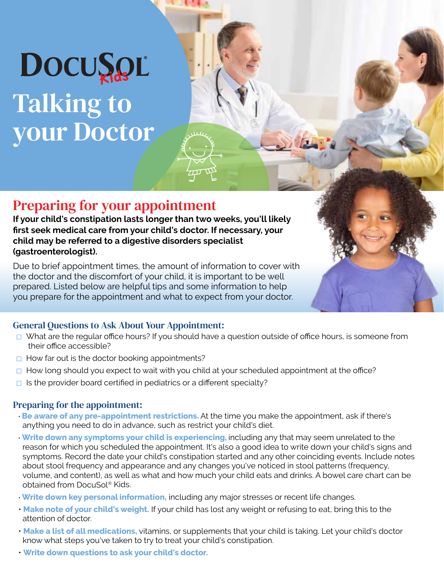# DOCUSOL Talking to

your Doctor

### Preparing for your appointment

**If your child's constipation lasts longer than two weeks, you'll likely first seek medical care from your child's doctor. If necessary, your child may be referred to a digestive disorders specialist (gastroenterologist).**

Due to brief appointment times, the amount of information to cover with the doctor and the discomfort of your child, it is important to be well prepared. Listed below are helpful tips and some information to help you prepare for the appointment and what to expect from your doctor.

### General Questions to Ask About Your Appointment:

- □ What are the regular office hours? If you should have a question outside of office hours, is someone from their office accessible?
- $\Box$  How far out is the doctor booking appointments?
- □ How long should you expect to wait with you child at your scheduled appointment at the office?
- $\Box$  Is the provider board certified in pediatrics or a different specialty?

### Preparing for the appointment:

- **Be aware of any pre-appointment restrictions.** At the time you make the appointment, ask if there's anything you need to do in advance, such as restrict your child's diet.
- **Write down any symptoms your child is experiencing,** including any that may seem unrelated to the reason for which you scheduled the appointment. It's also a good idea to write down your child's signs and symptoms. Record the date your child's constipation started and any other coinciding events. Include notes about stool frequency and appearance and any changes you've noticed in stool patterns (frequency, volume, and content), as well as what and how much your child eats and drinks. A bowel care chart can be obtained from DocuSol® Kids.
- **Write down key personal information,** including any major stresses or recent life changes.
- **Make note of your child's weight.** If your child has lost any weight or refusing to eat, bring this to the attention of doctor.
- **Make a list of all medications,** vitamins, or supplements that your child is taking. Let your child's doctor know what steps you've taken to try to treat your child's constipation.
- **Write down questions to ask your child's doctor.**